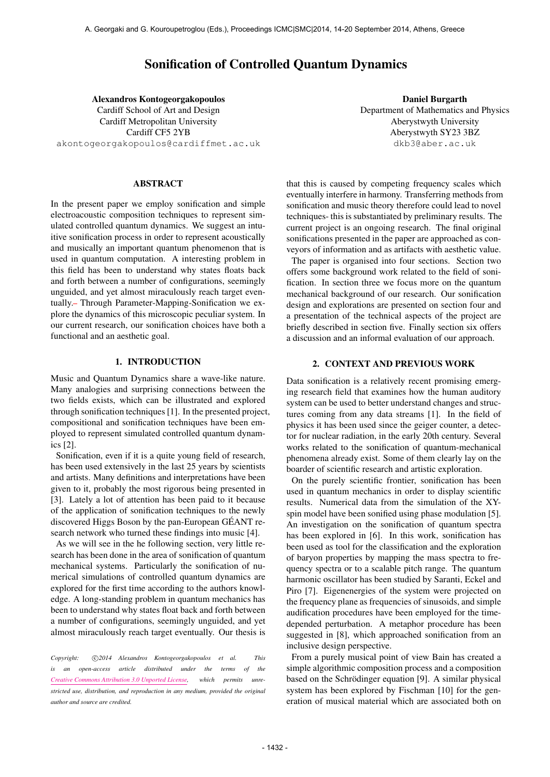# Sonification of Controlled Quantum Dynamics

Alexandros Kontogeorgakopoulos Cardiff School of Art and Design Cardiff Metropolitan University Cardiff CF5 2YB [akontogeorgakopoulos@cardiffmet.ac.uk](mailto:akontogeorgakopoulos@cardiffmet.ac.uk)

### ABSTRACT

In the present paper we employ sonification and simple electroacoustic composition techniques to represent simulated controlled quantum dynamics. We suggest an intuitive sonification process in order to represent acoustically and musically an important quantum phenomenon that is used in quantum computation. A interesting problem in this field has been to understand why states floats back and forth between a number of configurations, seemingly unguided, and yet almost miraculously reach target eventually. Through Parameter-Mapping-Sonification we explore the dynamics of this microscopic peculiar system. In our current research, our sonification choices have both a functional and an aesthetic goal.

# 1. INTRODUCTION

Music and Quantum Dynamics share a wave-like nature. Many analogies and surprising connections between the two fields exists, which can be illustrated and explored through sonification techniques [1]. In the presented project, compositional and sonification techniques have been employed to represent simulated controlled quantum dynamics [2].

Sonification, even if it is a quite young field of research, has been used extensively in the last 25 years by scientists and artists. Many definitions and interpretations have been given to it, probably the most rigorous being presented in [3]. Lately a lot of attention has been paid to it because of the application of sonification techniques to the newly discovered Higgs Boson by the pan-European GEANT re- ´ search network who turned these findings into music [4].

As we will see in the he following section, very little research has been done in the area of sonification of quantum mechanical systems. Particularly the sonification of numerical simulations of controlled quantum dynamics are explored for the first time according to the authors knowledge. A long-standing problem in quantum mechanics has been to understand why states float back and forth between a number of configurations, seemingly unguided, and yet almost miraculously reach target eventually. Our thesis is

*Copyright:* c *2014 Alexandros Kontogeorgakopoulos et al. This is an open-access article distributed under the terms of the [Creative Commons Attribution 3.0 Unported License,](http://creativecommons.org/licenses/by/3.0/) which permits unrestricted use, distribution, and reproduction in any medium, provided the original author and source are credited.*

Daniel Burgarth Department of Mathematics and Physics Aberystwyth University Aberystwyth SY23 3BZ [dkb3@aber.ac.uk](mailto:dkb3@aber.ac.uk)

that this is caused by competing frequency scales which eventually interfere in harmony. Transferring methods from sonification and music theory therefore could lead to novel techniques- this is substantiated by preliminary results. The current project is an ongoing research. The final original sonifications presented in the paper are approached as conveyors of information and as artifacts with aesthetic value.

The paper is organised into four sections. Section two offers some background work related to the field of sonification. In section three we focus more on the quantum mechanical background of our research. Our sonification design and explorations are presented on section four and a presentation of the technical aspects of the project are briefly described in section five. Finally section six offers a discussion and an informal evaluation of our approach.

# 2. CONTEXT AND PREVIOUS WORK

Data sonification is a relatively recent promising emerging research field that examines how the human auditory system can be used to better understand changes and structures coming from any data streams [1]. In the field of physics it has been used since the geiger counter, a detector for nuclear radiation, in the early 20th century. Several works related to the sonification of quantum-mechanical phenomena already exist. Some of them clearly lay on the boarder of scientific research and artistic exploration.

On the purely scientific frontier, sonification has been used in quantum mechanics in order to display scientific results. Numerical data from the simulation of the XYspin model have been sonified using phase modulation [5]. An investigation on the sonification of quantum spectra has been explored in [6]. In this work, sonification has been used as tool for the classification and the exploration of baryon properties by mapping the mass spectra to frequency spectra or to a scalable pitch range. The quantum harmonic oscillator has been studied by Saranti, Eckel and Piro [7]. Eigenenergies of the system were projected on the frequency plane as frequencies of sinusoids, and simple audification procedures have been employed for the timedepended perturbation. A metaphor procedure has been suggested in [8], which approached sonification from an inclusive design perspective.

From a purely musical point of view Bain has created a simple algorithmic composition process and a composition based on the Schrödinger equation [9]. A similar physical system has been explored by Fischman [10] for the generation of musical material which are associated both on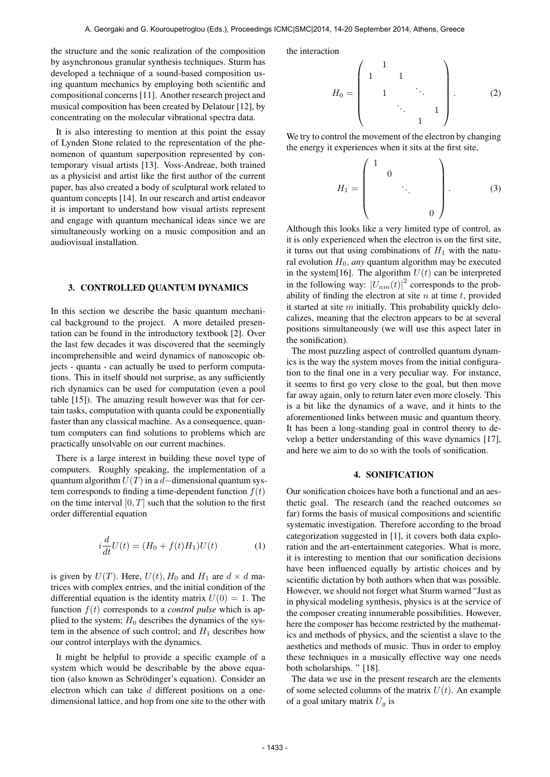the structure and the sonic realization of the composition by asynchronous granular synthesis techniques. Sturm has developed a technique of a sound-based composition using quantum mechanics by employing both scientific and compositional concerns [\[11\]](#page-4-0). Another research project and musical composition has been created by Delatour [\[12\]](#page-4-1), by concentrating on the molecular vibrational spectra data.

It is also interesting to mention at this point the essay of Lynden Stone related to the representation of the phenomenon of quantum superposition represented by contemporary visual artists [\[13\]](#page-4-2). Voss-Andreae, both trained as a physicist and artist like the first author of the current paper, has also created a body of sculptural work related to quantum concepts [\[14\]](#page-4-3). In our research and artist endeavor it is important to understand how visual artists represent and engage with quantum mechanical ideas since we are simultaneously working on a music composition and an audiovisual installation.

#### 3. CONTROLLED QUANTUM DYNAMICS

In this section we describe the basic quantum mechanical background to the project. A more detailed presentation can be found in the introductory textbook [\[2\]](#page-3-0). Over the last few decades it was discovered that the seemingly incomprehensible and weird dynamics of nanoscopic objects - quanta - can actually be used to perform computations. This in itself should not surprise, as any sufficiently rich dynamics can be used for computation (even a pool table [\[15\]](#page-4-4)). The amazing result however was that for certain tasks, computation with quanta could be exponentially faster than any classical machine. As a consequence, quantum computers can find solutions to problems which are practically unsolvable on our current machines.

There is a large interest in building these novel type of computers. Roughly speaking, the implementation of a quantum algorithm  $U(T)$  in a *d*—dimensional quantum system corresponds to finding a time-dependent function  $f(t)$ on the time interval  $[0, T]$  such that the solution to the first order differential equation

$$
i\frac{d}{dt}U(t) = (H_0 + f(t)H_1)U(t)
$$
 (1)

is given by  $U(T)$ . Here,  $U(t)$ ,  $H_0$  and  $H_1$  are  $d \times d$  matrices with complex entries, and the initial condition of the differential equation is the identity matrix  $U(0) = 1$ . The function  $f(t)$  corresponds to a *control pulse* which is applied to the system;  $H_0$  describes the dynamics of the system in the absence of such control; and  $H_1$  describes how our control interplays with the dynamics.

It might be helpful to provide a specific example of a system which would be describable by the above equation (also known as Schrödinger's equation). Consider an electron which can take *d* different positions on a onedimensional lattice, and hop from one site to the other with the interaction

$$
H_0 = \begin{pmatrix} 1 & & & & \\ 1 & 1 & & & \\ & 1 & & \ddots & \\ & & & \ddots & 1 \\ & & & & 1 \end{pmatrix} . \tag{2}
$$

We try to control the movement of the electron by changing the energy it experiences when it sits at the first site,

$$
H_1 = \begin{pmatrix} 1 & & & & \\ & 0 & & & \\ & & \ddots & & \\ & & & 0 \end{pmatrix} . \tag{3}
$$

Although this looks like a very limited type of control, as it is only experienced when the electron is on the first site, it turns out that using combinations of  $H_1$  with the natural evolution  $H_0$ , *any* quantum algorithm may be executed in the system[\[16\]](#page-4-5). The algorithm  $U(t)$  can be interpreted in the following way:  $|U_{nm}(t)|^2$  corresponds to the probability of finding the electron at site *n* at time *t,* provided it started at site *m* initially. This probability quickly delocalizes, meaning that the electron appears to be at several positions simultaneously (we will use this aspect later in the sonification).

The most puzzling aspect of controlled quantum dynamics is the way the system moves from the initial configuration to the final one in a very peculiar way. For instance, it seems to first go very close to the goal, but then move far away again, only to return later even more closely. This is a bit like the dynamics of a wave, and it hints to the aforementioned links between music and quantum theory. It has been a long-standing goal in control theory to develop a better understanding of this wave dynamics [\[17\]](#page-4-6), and here we aim to do so with the tools of sonification.

#### 4. SONIFICATION

Our sonification choices have both a functional and an aesthetic goal. The research (and the reached outcomes so far) forms the basis of musical compositions and scientific systematic investigation. Therefore according to the broad categorization suggested in [\[1\]](#page-3-1), it covers both data exploration and the art-entertainment categories. What is more, it is interesting to mention that our sonification decisions have been influenced equally by artistic choices and by scientific dictation by both authors when that was possible. However, we should not forget what Sturm warned "Just as in physical modeling synthesis, physics is at the service of the composer creating innumerable possibilities. However, here the composer has become restricted by the mathematics and methods of physics, and the scientist a slave to the aesthetics and methods of music. Thus in order to employ these techniques in a musically effective way one needs both scholarships. " [\[18\]](#page-4-7).

The data we use in the present research are the elements of some selected columns of the matrix  $U(t)$ . An example of a goal unitary matrix  $U_q$  is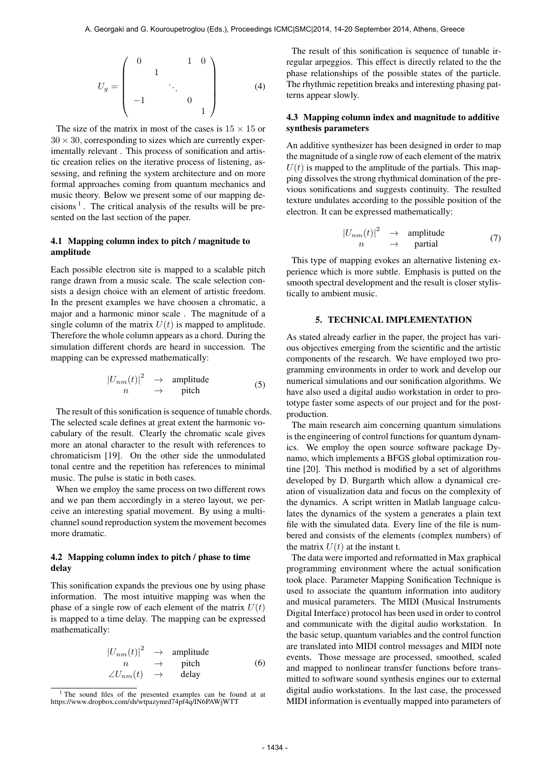$$
U_g = \begin{pmatrix} 0 & 1 & 0 \\ & 1 & & \\ & & \ddots & \\ -1 & & & 0 \\ & & & & 1 \end{pmatrix}
$$
 (4)

The size of the matrix in most of the cases is  $15 \times 15$  or  $30 \times 30$ , corresponding to sizes which are currently experimentally relevant . This process of sonification and artistic creation relies on the iterative process of listening, assessing, and refining the system architecture and on more formal approaches coming from quantum mechanics and music theory. Below we present some of our mapping decisions<sup> $1$ </sup>. The critical analysis of the results will be presented on the last section of the paper.

# 4.1 Mapping column index to pitch / magnitude to amplitude

Each possible electron site is mapped to a scalable pitch range drawn from a music scale. The scale selection consists a design choice with an element of artistic freedom. In the present examples we have choosen a chromatic, a major and a harmonic minor scale . The magnitude of a single column of the matrix  $U(t)$  is mapped to amplitude. Therefore the whole column appears as a chord. During the simulation different chords are heard in succession. The mapping can be expressed mathematically:

$$
\begin{array}{ccc}\n|U_{nm}(t)|^2 & \to & \text{amplitude} \\
n & \to & \text{pitch}\n\end{array} \tag{5}
$$

The result of this sonification is sequence of tunable chords. The selected scale defines at great extent the harmonic vocabulary of the result. Clearly the chromatic scale gives more an atonal character to the result with references to chromaticism [\[19\]](#page-4-8). On the other side the unmodulated tonal centre and the repetition has references to minimal music. The pulse is static in both cases.

When we employ the same process on two different rows and we pan them accordingly in a stereo layout, we perceive an interesting spatial movement. By using a multichannel sound reproduction system the movement becomes more dramatic.

# 4.2 Mapping column index to pitch / phase to time delay

This sonification expands the previous one by using phase information. The most intuitive mapping was when the phase of a single row of each element of the matrix  $U(t)$ is mapped to a time delay. The mapping can be expressed mathematically:

$$
\begin{array}{ccc}\n|U_{nm}(t)|^2 & \to & \text{amplitude} \\
n & \to & \text{pitch} \\
\angle U_{nm}(t) & \to & \text{delay}\n\end{array} \tag{6}
$$

The result of this sonification is sequence of tunable irregular arpeggios. This effect is directly related to the the phase relationships of the possible states of the particle. The rhythmic repetition breaks and interesting phasing patterns appear slowly.

## 4.3 Mapping column index and magnitude to additive synthesis parameters

An additive synthesizer has been designed in order to map the magnitude of a single row of each element of the matrix  $U(t)$  is mapped to the amplitude of the partials. This mapping dissolves the strong rhythmical domination of the previous sonifications and suggests continuity. The resulted texture undulates according to the possible position of the electron. It can be expressed mathematically:

$$
\begin{array}{ccc}\n|U_{nm}(t)|^2 & \to & \text{amplitude} \\
n & \to & \text{partial}\n\end{array} \tag{7}
$$

This type of mapping evokes an alternative listening experience which is more subtle. Emphasis is putted on the smooth spectral development and the result is closer stylistically to ambient music.

# 5. TECHNICAL IMPLEMENTATION

As stated already earlier in the paper, the project has various objectives emerging from the scientific and the artistic components of the research. We have employed two programming environments in order to work and develop our numerical simulations and our sonification algorithms. We have also used a digital audio workstation in order to prototype faster some aspects of our project and for the postproduction.

The main research aim concerning quantum simulations is the engineering of control functions for quantum dynamics. We employ the open source software package Dynamo, which implements a BFGS global optimization routine [\[20\]](#page-4-9). This method is modified by a set of algorithms developed by D. Burgarth which allow a dynamical creation of visualization data and focus on the complexity of the dynamics. A script written in Matlab language calculates the dynamics of the system a generates a plain text file with the simulated data. Every line of the file is numbered and consists of the elements (complex numbers) of the matrix  $U(t)$  at the instant t.

The data were imported and reformatted in Max graphical programming environment where the actual sonification took place. Parameter Mapping Sonification Technique is used to associate the quantum information into auditory and musical parameters. The MIDI (Musical Instruments Digital Interface) protocol has been used in order to control and communicate with the digital audio workstation. In the basic setup, quantum variables and the control function are translated into MIDI control messages and MIDI note events. Those message are processed, smoothed, scaled and mapped to nonlinear transfer functions before transmitted to software sound synthesis engines our to external digital audio workstations. In the last case, the processed MIDI information is eventually mapped into parameters of

<span id="page-2-0"></span><sup>&</sup>lt;sup>1</sup> The sound files of the presented examples can be found at at https://www.dropbox.com/sh/wtpazymrd74pf4q/IN6PAWjWTT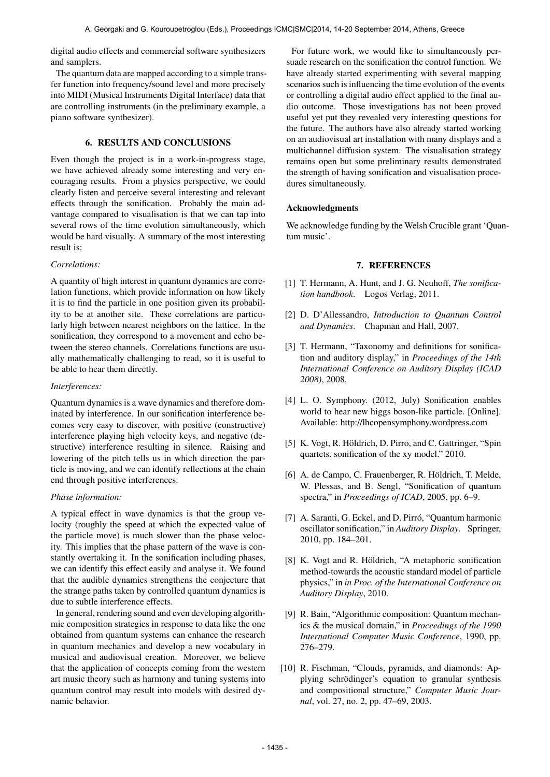digital audio effects and commercial software synthesizers and samplers.

The quantum data are mapped according to a simple transfer function into frequency/sound level and more precisely into MIDI (Musical Instruments Digital Interface) data that are controlling instruments (in the preliminary example, a piano software synthesizer).

# 6. RESULTS AND CONCLUSIONS

Even though the project is in a work-in-progress stage, we have achieved already some interesting and very encouraging results. From a physics perspective, we could clearly listen and perceive several interesting and relevant effects through the sonification. Probably the main advantage compared to visualisation is that we can tap into several rows of the time evolution simultaneously, which would be hard visually. A summary of the most interesting result is:

#### *Correlations:*

A quantity of high interest in quantum dynamics are correlation functions, which provide information on how likely it is to find the particle in one position given its probability to be at another site. These correlations are particularly high between nearest neighbors on the lattice. In the sonification, they correspond to a movement and echo between the stereo channels. Correlations functions are usually mathematically challenging to read, so it is useful to be able to hear them directly.

## *Interferences:*

Quantum dynamics is a wave dynamics and therefore dominated by interference. In our sonification interference becomes very easy to discover, with positive (constructive) interference playing high velocity keys, and negative (destructive) interference resulting in silence. Raising and lowering of the pitch tells us in which direction the particle is moving, and we can identify reflections at the chain end through positive interferences.

#### *Phase information:*

A typical effect in wave dynamics is that the group velocity (roughly the speed at which the expected value of the particle move) is much slower than the phase velocity. This implies that the phase pattern of the wave is constantly overtaking it. In the sonification including phases, we can identify this effect easily and analyse it. We found that the audible dynamics strengthens the conjecture that the strange paths taken by controlled quantum dynamics is due to subtle interference effects.

In general, rendering sound and even developing algorithmic composition strategies in response to data like the one obtained from quantum systems can enhance the research in quantum mechanics and develop a new vocabulary in musical and audiovisual creation. Moreover, we believe that the application of concepts coming from the western art music theory such as harmony and tuning systems into quantum control may result into models with desired dynamic behavior.

For future work, we would like to simultaneously persuade research on the sonification the control function. We have already started experimenting with several mapping scenarios such is influencing the time evolution of the events or controlling a digital audio effect applied to the final audio outcome. Those investigations has not been proved useful yet put they revealed very interesting questions for the future. The authors have also already started working on an audiovisual art installation with many displays and a multichannel diffusion system. The visualisation strategy remains open but some preliminary results demonstrated the strength of having sonification and visualisation procedures simultaneously.

# Acknowledgments

We acknowledge funding by the Welsh Crucible grant 'Quantum music'.

## 7. REFERENCES

- <span id="page-3-1"></span>[1] T. Hermann, A. Hunt, and J. G. Neuhoff, *The sonification handbook*. Logos Verlag, 2011.
- <span id="page-3-0"></span>[2] D. D'Allessandro, *Introduction to Quantum Control and Dynamics*. Chapman and Hall, 2007.
- [3] T. Hermann, "Taxonomy and definitions for sonification and auditory display," in *Proceedings of the 14th International Conference on Auditory Display (ICAD 2008)*, 2008.
- [4] L. O. Symphony. (2012, July) Sonification enables world to hear new higgs boson-like particle. [Online]. Available:<http://lhcopensymphony.wordpress.com>
- [5] K. Vogt, R. Höldrich, D. Pirro, and C. Gattringer, "Spin quartets. sonification of the xy model." 2010.
- [6] A. de Campo, C. Frauenberger, R. Höldrich, T. Melde, W. Plessas, and B. Sengl, "Sonification of quantum spectra," in *Proceedings of ICAD*, 2005, pp. 6–9.
- [7] A. Saranti, G. Eckel, and D. Pirró, "Quantum harmonic oscillator sonification," in *Auditory Display*. Springer, 2010, pp. 184–201.
- [8] K. Vogt and R. Höldrich, "A metaphoric sonification method-towards the acoustic standard model of particle physics," in *in Proc. of the International Conference on Auditory Display*, 2010.
- [9] R. Bain, "Algorithmic composition: Quantum mechanics & the musical domain," in *Proceedings of the 1990 International Computer Music Conference*, 1990, pp. 276–279.
- [10] R. Fischman, "Clouds, pyramids, and diamonds: Applying schrödinger's equation to granular synthesis and compositional structure," *Computer Music Journal*, vol. 27, no. 2, pp. 47–69, 2003.